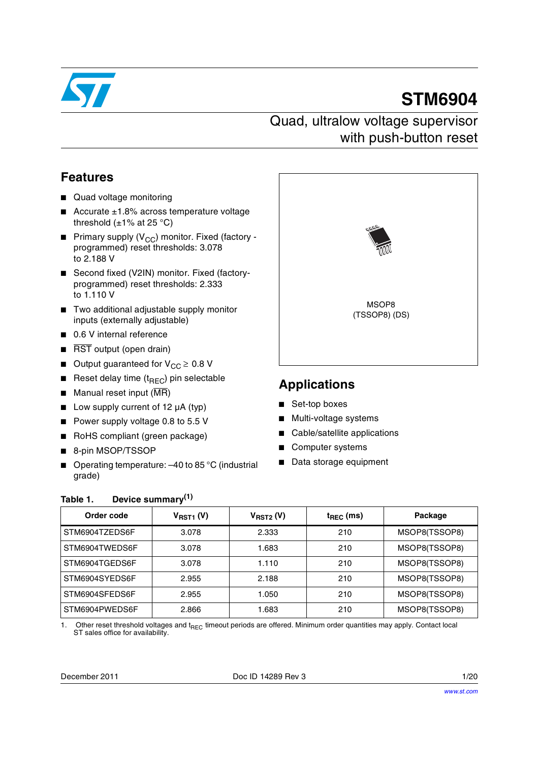

# **STM6904**

### Quad, ultralow voltage supervisor with push-button reset

### **Features**

- Quad voltage monitoring
- Accurate ±1.8% across temperature voltage threshold  $(\pm 1\% \text{ at } 25 \degree \text{C})$
- **■** Primary supply ( $V_{CC}$ ) monitor. Fixed (factory programmed) reset thresholds: 3.078 to 2.188 V
- Second fixed (V2IN) monitor. Fixed (factoryprogrammed) reset thresholds: 2.333 to 1.110 V
- Two additional adjustable supply monitor inputs (externally adjustable)
- 0.6 V internal reference
- RST output (open drain)
- Output guaranteed for  $V_{CC} \geq 0.8$  V
- Reset delay time  $(t_{\text{BFC}})$  pin selectable
- $\blacksquare$  Manual reset input ( $\overline{\text{MR}}$ )
- Low supply current of 12 µA (typ)
- Power supply voltage 0.8 to 5.5 V
- RoHS compliant (green package)
- 8-pin MSOP/TSSOP
- Operating temperature: -40 to 85 °C (industrial grade)



### **Applications**

- Set-top boxes
- Multi-voltage systems
- Cable/satellite applications
- Computer systems
- Data storage equipment

#### <span id="page-0-0"></span>**Table 1. Device summary(1)**

| Order code     | $V_{RST1}$ (V) | $V_{RST2} (V)$ | $t_{\text{REC}}$ (ms) | Package       |
|----------------|----------------|----------------|-----------------------|---------------|
| STM6904TZEDS6F | 3.078          | 2.333          | 210                   | MSOP8(TSSOP8) |
| STM6904TWEDS6F | 3.078          | 1.683          | 210                   | MSOP8(TSSOP8) |
| STM6904TGEDS6F | 3.078          | 1.110          | 210                   | MSOP8(TSSOP8) |
| STM6904SYEDS6F | 2.955          | 2.188          | 210                   | MSOP8(TSSOP8) |
| STM6904SFEDS6F | 2.955          | 1.050          | 210                   | MSOP8(TSSOP8) |
| STM6904PWEDS6F | 2.866          | 1.683          | 210                   | MSOP8(TSSOP8) |

1. Other reset threshold voltages and t<sub>REC</sub> timeout periods are offered. Minimum order quantities may apply. Contact local ST sales office for availability.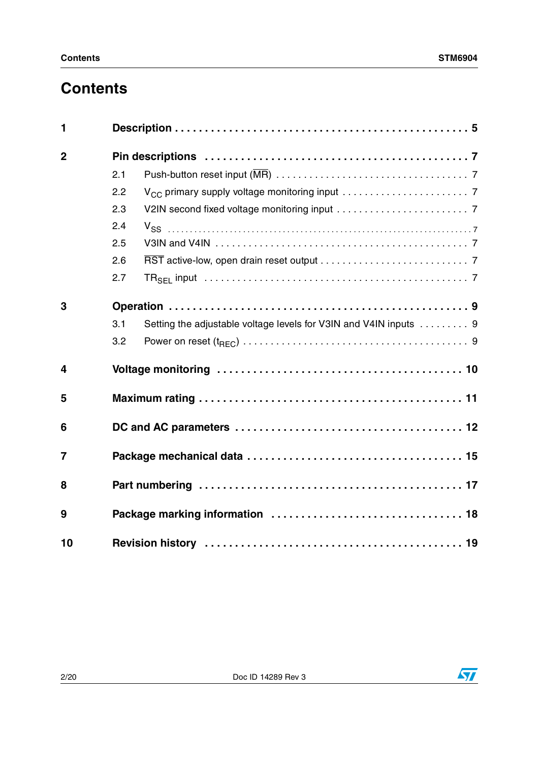## **Contents**

| 1              |     |                                                                   |
|----------------|-----|-------------------------------------------------------------------|
| $\overline{2}$ |     |                                                                   |
|                | 2.1 |                                                                   |
|                | 2.2 |                                                                   |
|                | 2.3 |                                                                   |
|                | 2.4 | $V_{SS}$                                                          |
|                | 2.5 |                                                                   |
|                | 2.6 |                                                                   |
|                | 2.7 |                                                                   |
| 3              |     |                                                                   |
|                | 3.1 | Setting the adjustable voltage levels for V3IN and V4IN inputs  9 |
|                | 3.2 |                                                                   |
| 4              |     |                                                                   |
| 5              |     |                                                                   |
| 6              |     |                                                                   |
| 7              |     |                                                                   |
| 8              |     |                                                                   |
| 9              |     |                                                                   |
| 10             |     |                                                                   |

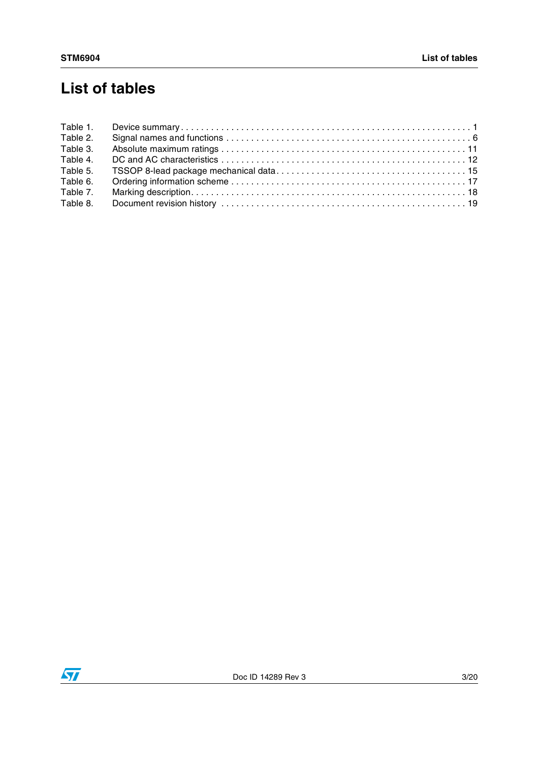## **List of tables**

| Table 1. |  |
|----------|--|
| Table 2. |  |
| Table 3. |  |
| Table 4. |  |
| Table 5. |  |
| Table 6. |  |
| Table 7. |  |
| Table 8. |  |
|          |  |

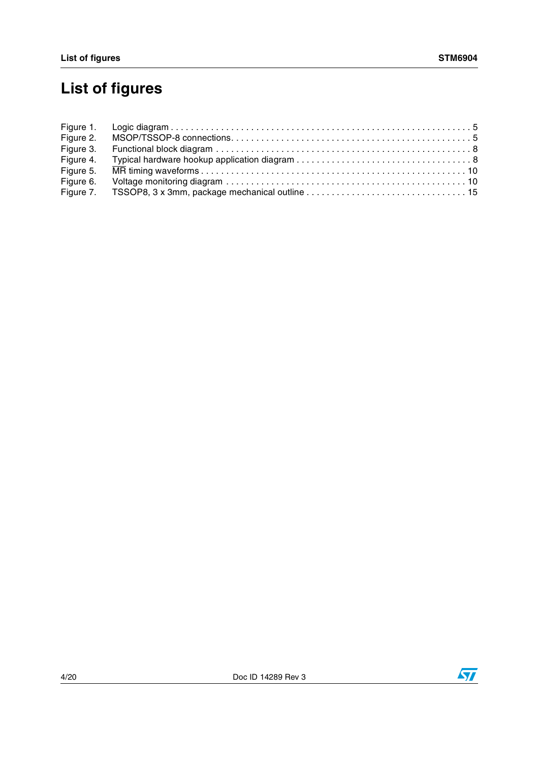# **List of figures**

| Figure 2. |  |
|-----------|--|
| Figure 3. |  |
| Figure 4. |  |
| Figure 5. |  |
| Figure 6. |  |
|           |  |



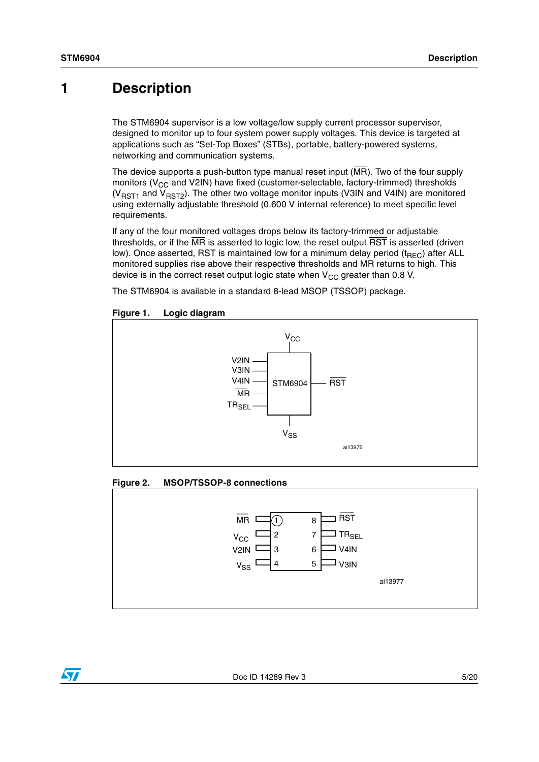### <span id="page-4-0"></span>**1 Description**

The STM6904 supervisor is a low voltage/low supply current processor supervisor, designed to monitor up to four system power supply voltages. This device is targeted at applications such as "Set-Top Boxes" (STBs), portable, battery-powered systems, networking and communication systems.

The device supports a push-button type manual reset input  $(MR)$ . Two of the four supply monitors ( $V_{CC}$  and V2IN) have fixed (customer-selectable, factory-trimmed) thresholds ( $V<sub>RST1</sub>$  and  $V<sub>RST2</sub>$ ). The other two voltage monitor inputs (V3IN and V4IN) are monitored using externally adjustable threshold (0.600 V internal reference) to meet specific level requirements.

If any of the four monitored voltages drops below its factory-trimmed or adjustable thresholds, or if the  $\overline{\text{MR}}$  is asserted to logic low, the reset output  $\overline{\text{RST}}$  is asserted (driven low). Once asserted, RST is maintained low for a minimum delay period ( $t_{\text{BEC}}$ ) after ALL monitored supplies rise above their respective thresholds and MR returns to high. This device is in the correct reset output logic state when  $V_{CC}$  greater than 0.8 V.

The STM6904 is available in a standard 8-lead MSOP (TSSOP) package.



#### <span id="page-4-1"></span>**Figure 1. Logic diagram**

#### <span id="page-4-2"></span>**Figure 2. MSOP/TSSOP-8 connections**



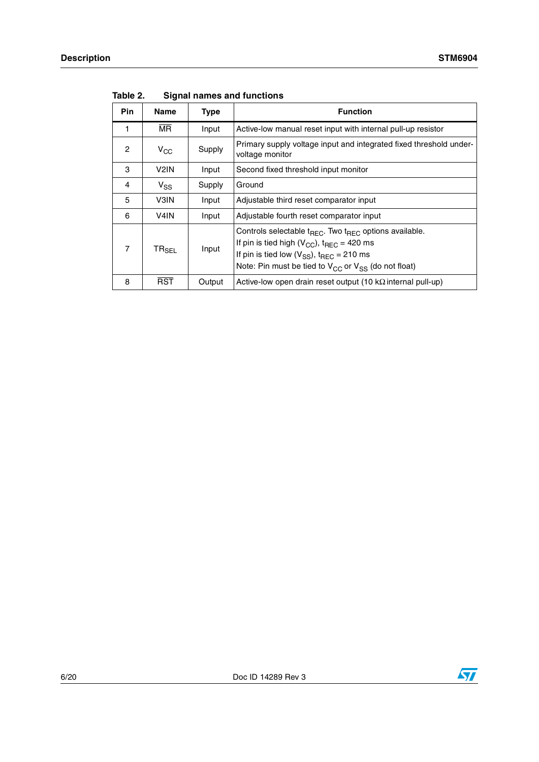| <b>Pin</b>     | Name                         | Type   | <b>Function</b>                                                                                                                                                                                                                                                      |
|----------------|------------------------------|--------|----------------------------------------------------------------------------------------------------------------------------------------------------------------------------------------------------------------------------------------------------------------------|
|                | $\overline{\mathsf{MR}}$     | Input  | Active-low manual reset input with internal pull-up resistor                                                                                                                                                                                                         |
| $\overline{c}$ | $V_{CC}$                     | Supply | Primary supply voltage input and integrated fixed threshold under-<br>voltage monitor                                                                                                                                                                                |
| 3              | V <sub>2</sub> IN            | Input  | Second fixed threshold input monitor                                                                                                                                                                                                                                 |
| 4              | $V_{SS}$                     | Supply | Ground                                                                                                                                                                                                                                                               |
| 5              | V3IN                         | Input  | Adjustable third reset comparator input                                                                                                                                                                                                                              |
| 6              | V <sub>4</sub> IN            | Input  | Adjustable fourth reset comparator input                                                                                                                                                                                                                             |
| 7              | $\mathsf{TR}_{\mathsf{SEL}}$ | Input  | Controls selectable $t_{\text{REC}}$ . Two $t_{\text{REC}}$ options available.<br>If pin is tied high ( $V_{CC}$ ), $t_{REC}$ = 420 ms<br>If pin is tied low $(V_{SS})$ , t <sub>REC</sub> = 210 ms<br>Note: Pin must be tied to $V_{CC}$ or $V_{SS}$ (do not float) |
| 8              | <b>RST</b>                   | Output | Active-low open drain reset output (10 k $\Omega$ internal pull-up)                                                                                                                                                                                                  |

<span id="page-5-0"></span>**Table 2. Signal names and functions**

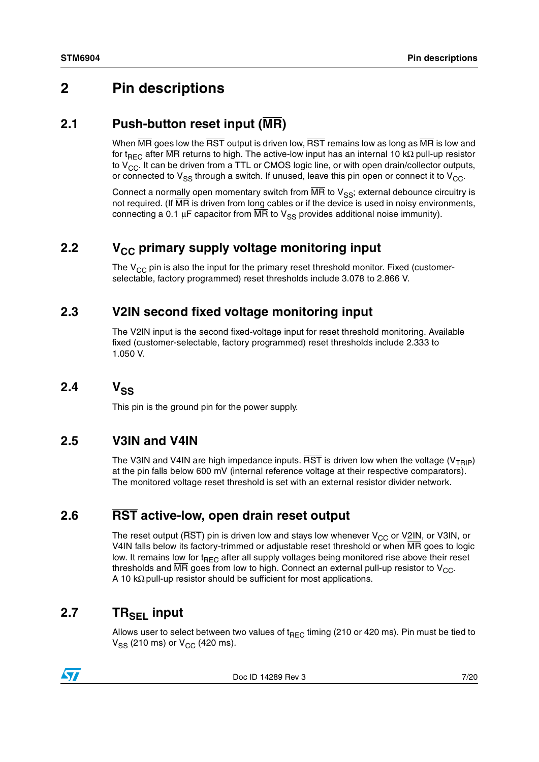### <span id="page-6-0"></span>**2 Pin descriptions**

#### <span id="page-6-1"></span>**2.1 Push-button reset input (MR)**

When  $\overline{MR}$  goes low the  $\overline{RST}$  output is driven low,  $\overline{RST}$  remains low as long as  $\overline{MR}$  is low and for t<sub>REC</sub> after MR returns to high. The active-low input has an internal 10 kΩ pull-up resistor to  $V_{CC}$ . It can be driven from a TTL or CMOS logic line, or with open drain/collector outputs, or connected to  $V_{SS}$  through a switch. If unused, leave this pin open or connect it to  $V_{CC}$ .

Connect a normally open momentary switch from  $\overline{MR}$  to  $V_{SS}$ ; external debounce circuitry is not required. (If MR is driven from long cables or if the device is used in noisy environments, connecting a 0.1 μF capacitor from  $\overline{MR}$  to  $V_{SS}$  provides additional noise immunity).

### <span id="page-6-2"></span>**2.2** V<sub>CC</sub> primary supply voltage monitoring input

The  $V_{CC}$  pin is also the input for the primary reset threshold monitor. Fixed (customerselectable, factory programmed) reset thresholds include 3.078 to 2.866 V.

#### <span id="page-6-3"></span>**2.3 V2IN second fixed voltage monitoring input**

The V2IN input is the second fixed-voltage input for reset threshold monitoring. Available fixed (customer-selectable, factory programmed) reset thresholds include 2.333 to 1.050 V.

<span id="page-6-4"></span> $2.4$   $V_{SS}$ 

This pin is the ground pin for the power supply.

#### <span id="page-6-5"></span>**2.5 V3IN and V4IN**

The V3IN and V4IN are high impedance inputs.  $\overline{RST}$  is driven low when the voltage (V<sub>TRIP</sub>) at the pin falls below 600 mV (internal reference voltage at their respective comparators). The monitored voltage reset threshold is set with an external resistor divider network.

### <span id="page-6-6"></span>**2.6 RST active-low, open drain reset output**

The reset output ( $\overline{\text{RST}}$ ) pin is driven low and stays low whenever  $V_{CC}$  or V2IN, or V3IN, or V4IN falls below its factory-trimmed or adjustable reset threshold or when MR goes to logic low. It remains low for t<sub>REC</sub> after all supply voltages being monitored rise above their reset thresholds and  $\overline{MR}$  goes from low to high. Connect an external pull-up resistor to  $V_{CC}$ . A 10 kΩ pull-up resistor should be sufficient for most applications.

### <span id="page-6-7"></span>2.7 TR<sub>SFI</sub> input

Allows user to select between two values of  $t_{\text{REC}}$  timing (210 or 420 ms). Pin must be tied to  $V_{SS}$  (210 ms) or  $V_{CC}$  (420 ms).



Doc ID 14289 Rev 3 7/20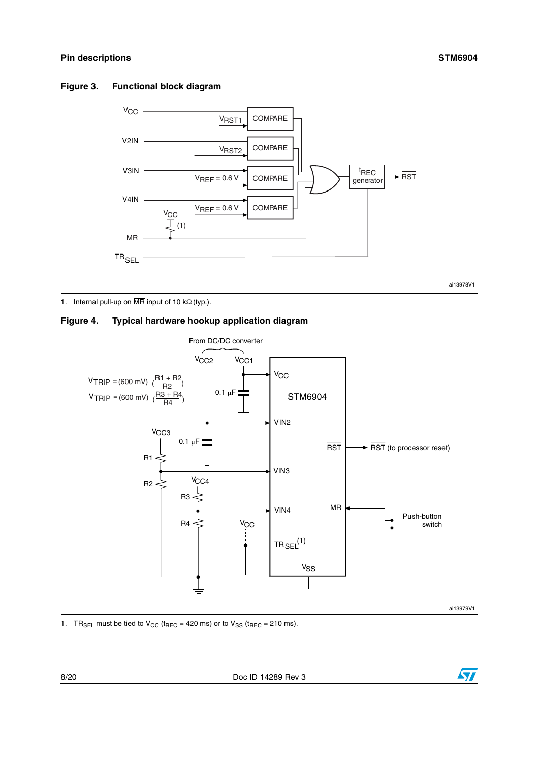<span id="page-7-0"></span>



1. Internal pull-up on  $\overline{\text{MR}}$  input of 10 kΩ (typ.).

<span id="page-7-1"></span>



1. TR<sub>SEL</sub> must be tied to  $V_{CC}$  (t<sub>REC</sub> = 420 ms) or to  $V_{SS}$  (t<sub>REC</sub> = 210 ms).

8/20 Doc ID 14289 Rev 3

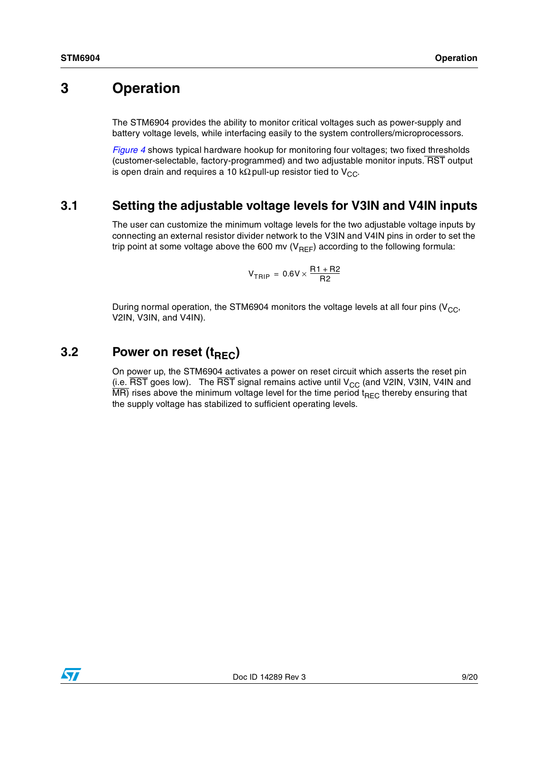### <span id="page-8-0"></span>**3 Operation**

The STM6904 provides the ability to monitor critical voltages such as power-supply and battery voltage levels, while interfacing easily to the system controllers/microprocessors.

*[Figure 4](#page-7-1)* shows typical hardware hookup for monitoring four voltages; two fixed thresholds (customer-selectable, factory-programmed) and two adjustable monitor inputs. RST output is open drain and requires a 10 kΩ pull-up resistor tied to  $V_{CC}$ .

#### <span id="page-8-1"></span>**3.1 Setting the adjustable voltage levels for V3IN and V4IN inputs**

The user can customize the minimum voltage levels for the two adjustable voltage inputs by connecting an external resistor divider network to the V3IN and V4IN pins in order to set the trip point at some voltage above the 600 mv ( $V_{REF}$ ) according to the following formula:

$$
V_{TRIP} = 0.6 V \times \frac{R1 + R2}{R2}
$$

During normal operation, the STM6904 monitors the voltage levels at all four pins ( $V_{CC}$ , V2IN, V3IN, and V4IN).

### <span id="page-8-2"></span>**3.2** Power on reset (t<sub>REC</sub>)

On power up, the STM6904 activates a power on reset circuit which asserts the reset pin (i.e.  $\overline{\text{RST}}$  goes low). The  $\overline{\text{RST}}$  signal remains active until  $V_{CC}$  (and V2IN, V3IN, V4IN and  $\overline{MR}$ ) rises above the minimum voltage level for the time period t<sub>REC</sub> thereby ensuring that the supply voltage has stabilized to sufficient operating levels.

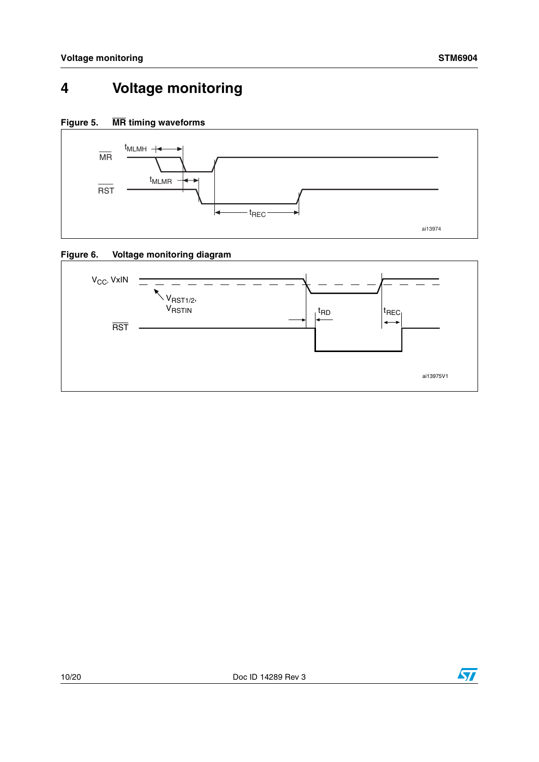## <span id="page-9-0"></span>**4 Voltage monitoring**

<span id="page-9-1"></span>**Figure 5. MR timing waveforms**



<span id="page-9-2"></span>



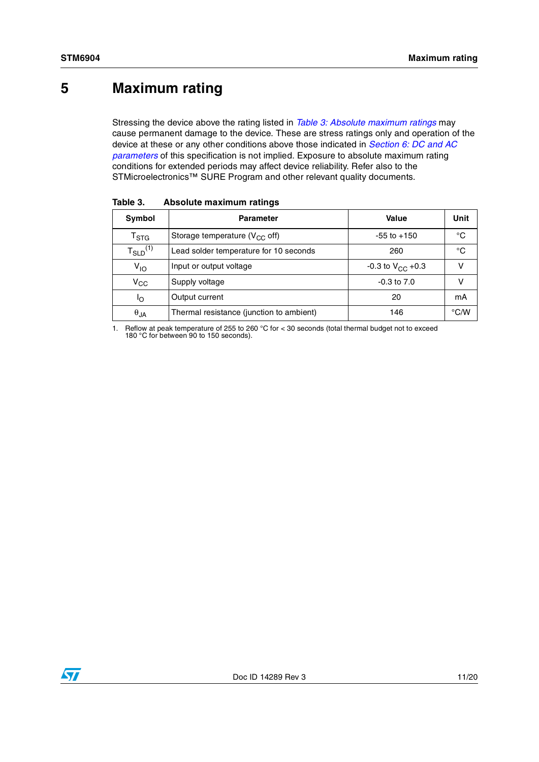### <span id="page-10-0"></span>**5 Maximum rating**

Stressing the device above the rating listed in *[Table 3: Absolute maximum ratings](#page-10-1)* may cause permanent damage to the device. These are stress ratings only and operation of the device at these or any other conditions above those indicated in *[Section 6: DC and AC](#page-11-0)  [parameters](#page-11-0)* of this specification is not implied. Exposure to absolute maximum rating conditions for extended periods may affect device reliability. Refer also to the STMicroelectronics™ SURE Program and other relevant quality documents.

| Symbol                    | <b>Parameter</b>                         | Value                          | Unit          |
|---------------------------|------------------------------------------|--------------------------------|---------------|
| $\mathsf{T}_{\text{STG}}$ | Storage temperature ( $V_{CC}$ off)      | $-55$ to $+150$                | °C            |
| $T_{SLD}^{(1)}$           | Lead solder temperature for 10 seconds   | 260                            | °C            |
| $V_{1O}$                  | Input or output voltage                  | $-0.3$ to $V_{\text{CC}}$ +0.3 |               |
| $\rm v_{cc}$              | Supply voltage                           | $-0.3$ to $7.0$                |               |
| ١o                        | Output current                           | 20                             | mA            |
| $\theta_{JA}$             | Thermal resistance (junction to ambient) | 146                            | $\degree$ C/W |

<span id="page-10-1"></span>**Table 3. Absolute maximum ratings**

1. Reflow at peak temperature of 255 to 260 °C for < 30 seconds (total thermal budget not to exceed 180 °C for between 90 to 150 seconds).

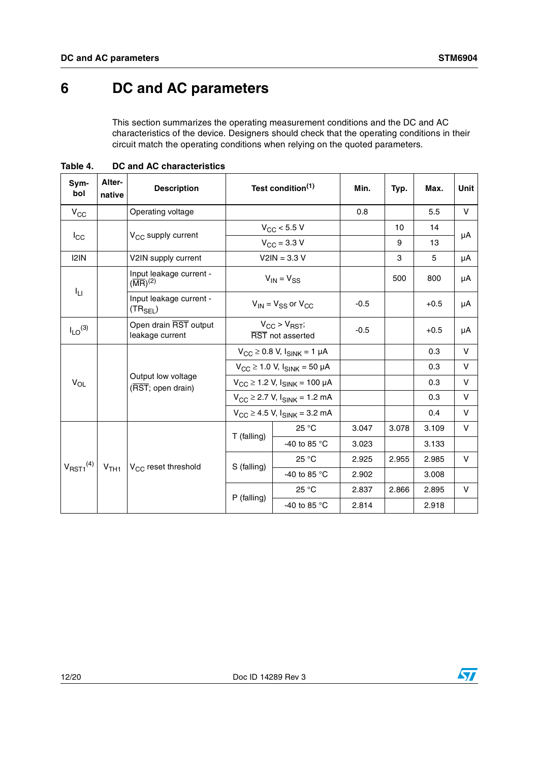## <span id="page-11-0"></span>**6 DC and AC parameters**

This section summarizes the operating measurement conditions and the DC and AC characteristics of the device. Designers should check that the operating conditions in their circuit match the operating conditions when relying on the quoted parameters.

| Sym-<br>bol                | Alter-<br>native | <b>Description</b>                                        |                                                          | Test condition <sup>(1)</sup>                 |        | Typ.  | Max.   | Unit |
|----------------------------|------------------|-----------------------------------------------------------|----------------------------------------------------------|-----------------------------------------------|--------|-------|--------|------|
| $V_{CC}$                   |                  | Operating voltage                                         |                                                          |                                               | 0.8    |       | 5.5    | V    |
|                            |                  |                                                           |                                                          | $V_{CC}$ < 5.5 V                              |        | 10    | 14     |      |
| $I_{\rm CC}$               |                  | $V_{CC}$ supply current                                   |                                                          | $V_{\text{CC}} = 3.3 V$                       |        | 9     | 13     | μA   |
| 121N                       |                  | V2IN supply current                                       |                                                          | $V2IN = 3.3 V$                                |        | 3     | 5      | μA   |
|                            |                  | Input leakage current -<br>$(\overline{\text{MR}})^{(2)}$ |                                                          | $V_{IN} = V_{SS}$                             |        | 500   | 800    | μA   |
| ĪЦ                         |                  | Input leakage current -<br>$(TR_{SEL})$                   | $V_{IN}$ = $V_{SS}$ or $V_{CC}$                          |                                               | $-0.5$ |       | $+0.5$ | μA   |
| $I_{LO}$ <sup>(3)</sup>    |                  | Open drain RST output<br>leakage current                  | $V_{\rm CC}$ > $V_{\rm RST}$ ;<br>RST not asserted       |                                               | $-0.5$ |       | $+0.5$ | μA   |
|                            |                  | Output low voltage<br>(RST; open drain)                   |                                                          | $V_{\rm CC} \ge 0.8$ V, $I_{\rm SINK} = 1$ µA |        |       | 0.3    | V    |
|                            |                  |                                                           | $V_{\text{CC}} \ge 1.0$ V, $I_{\text{SINK}} = 50$ µA     |                                               |        |       | 0.3    | V    |
| $V_{OL}$                   |                  |                                                           | $V_{CC} \ge 1.2$ V, $I_{SINK} = 100 \mu A$               |                                               |        |       | 0.3    | V    |
|                            |                  |                                                           | $V_{\text{CC}}$ $\geq$ 2.7 V, $I_{\text{SINK}}$ = 1.2 mA |                                               |        |       | 0.3    | V    |
|                            |                  |                                                           | $V_{CC} \ge 4.5$ V, $I_{SINK} = 3.2$ mA                  |                                               |        |       | 0.4    | v    |
|                            |                  |                                                           | T (falling)                                              | 25 °C                                         | 3.047  | 3.078 | 3.109  | V    |
|                            |                  |                                                           |                                                          | -40 to 85 °C                                  | 3.023  |       | 3.133  |      |
| $V_{RST1}^{(4)}$ $V_{TH1}$ |                  |                                                           | S (falling)                                              | 25 °C                                         | 2.925  | 2.955 | 2.985  | V    |
|                            |                  | V <sub>CC</sub> reset threshold                           |                                                          | -40 to 85 $\degree$ C                         | 2.902  |       | 3.008  |      |
|                            |                  |                                                           | $P$ (falling)                                            | 25 °C                                         | 2.837  | 2.866 | 2.895  | V    |
|                            |                  |                                                           |                                                          | -40 to 85 $^{\circ}$ C                        | 2.814  |       | 2.918  |      |

<span id="page-11-1"></span>**Table 4. DC and AC characteristics**

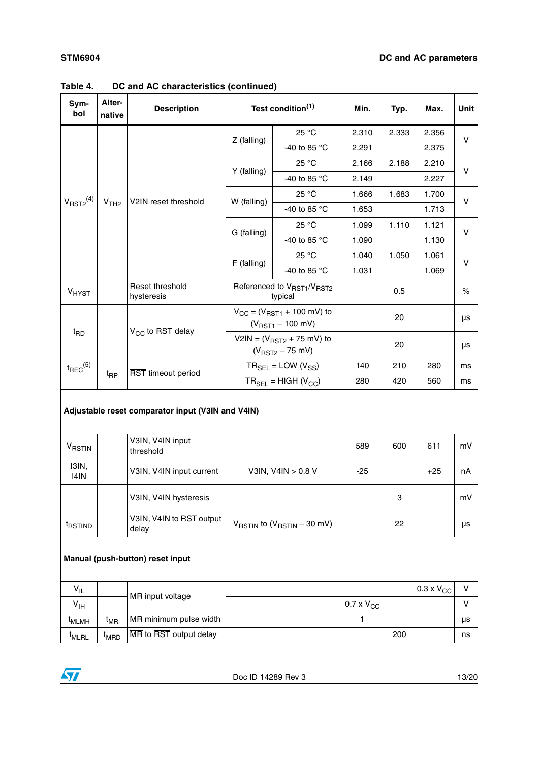| Sym-<br>bol                      | Alter-<br>native                                    | <b>Description</b>            | Test condition <sup>(1)</sup>                                              |                                      | Min.  | Typ.  | Max.  | Unit         |  |  |  |
|----------------------------------|-----------------------------------------------------|-------------------------------|----------------------------------------------------------------------------|--------------------------------------|-------|-------|-------|--------------|--|--|--|
|                                  |                                                     |                               |                                                                            | 25 °C                                | 2.310 | 2.333 | 2.356 | $\mathsf{V}$ |  |  |  |
|                                  |                                                     |                               | $Z$ (falling)                                                              | -40 to 85 $\degree$ C                | 2.291 |       | 2.375 |              |  |  |  |
|                                  |                                                     |                               | Y (falling)                                                                | 25 °C                                | 2.166 | 2.188 | 2.210 | $\mathsf{V}$ |  |  |  |
|                                  |                                                     |                               |                                                                            | -40 to 85 °C                         | 2.149 |       | 2.227 |              |  |  |  |
|                                  |                                                     |                               | W (falling)                                                                | 25 °C                                | 1.666 | 1.683 | 1.700 | $\mathsf{V}$ |  |  |  |
| V <sub>RST2</sub> <sup>(4)</sup> | V <sub>TH2</sub>                                    | V2IN reset threshold          |                                                                            | -40 to 85 °C                         | 1.653 |       | 1.713 |              |  |  |  |
|                                  |                                                     |                               | G (falling)                                                                | 25 °C                                | 1.099 | 1.110 | 1.121 | $\mathsf{V}$ |  |  |  |
|                                  |                                                     |                               |                                                                            | -40 to 85 °C                         | 1.090 |       | 1.130 |              |  |  |  |
|                                  |                                                     |                               | $F$ (falling)                                                              | 25 °C                                | 1.040 | 1.050 | 1.061 | $\vee$       |  |  |  |
|                                  |                                                     |                               |                                                                            | -40 to 85 °C                         | 1.031 |       | 1.069 |              |  |  |  |
| V <sub>HYST</sub>                |                                                     | Reset threshold<br>hysteresis |                                                                            | Referenced to VRST1/VRST2<br>typical |       | 0.5   |       | $\%$         |  |  |  |
|                                  |                                                     |                               | $V_{CC} = (V_{RST1} + 100 \text{ mV})$ to<br>$(V_{RST1} - 100 \text{ mV})$ |                                      |       | 20    |       | μs           |  |  |  |
| t <sub>RD</sub>                  |                                                     | $V_{CC}$ to RST delay         | V2IN = $(V_{RST2} + 75$ mV) to<br>$(V_{RST2} - 75$ mV)                     |                                      |       | 20    |       | μs           |  |  |  |
| $t_{\text{REC}}^{(5)}$           |                                                     |                               |                                                                            | $TR_{SEL} = LOW (V_{SS})$            | 140   | 210   | 280   | ms           |  |  |  |
|                                  | $t_{\mathsf{RP}}$                                   | RST timeout period            |                                                                            | $TR_{\text{SEI}} = HIGH (V_{CC})$    | 280   | 420   | 560   | ms           |  |  |  |
|                                  | Adjustable vesst semprevatev junut (VOIN and VAINI) |                               |                                                                            |                                      |       |       |       |              |  |  |  |

| Table 4. | DC and AC characteristics (continued) |  |  |
|----------|---------------------------------------|--|--|
|----------|---------------------------------------|--|--|

#### **Adjustable reset comparator input (V3IN and V4IN)**

| <b>VRSTIN</b>       | V3IN, V4IN input<br>threshold     |                                                            | 589   | 600 | 611   | mV |
|---------------------|-----------------------------------|------------------------------------------------------------|-------|-----|-------|----|
| I3IN,<br>14IN       | V3IN, V4IN input current          | V3IN, V4IN > 0.8 V                                         | $-25$ |     | $+25$ | nA |
|                     | V3IN, V4IN hysteresis             |                                                            |       | 3   |       | mV |
| <sup>I</sup> RSTIND | V3IN, V4IN to RST output<br>delay | $V_{\text{RSTIN}}$ to $(V_{\text{RSTIN}} - 30 \text{ mV})$ |       | 22  |       | μs |

#### **Manual (push-button) reset input**

| $V_{IL}$          |                  | IMR input voltage      |                     |     | $0.3 \times V_{CC}$ |    |
|-------------------|------------------|------------------------|---------------------|-----|---------------------|----|
| $V_{IH}$          |                  |                        | $0.7 \times V_{CC}$ |     |                     |    |
| <sup>I</sup> MLMH | t <sub>MR</sub>  | MR minimum pulse width |                     |     |                     | μs |
| <sup>I</sup> MLRL | <sup>I</sup> MRD | MR to RST output delay |                     | 200 |                     | ns |

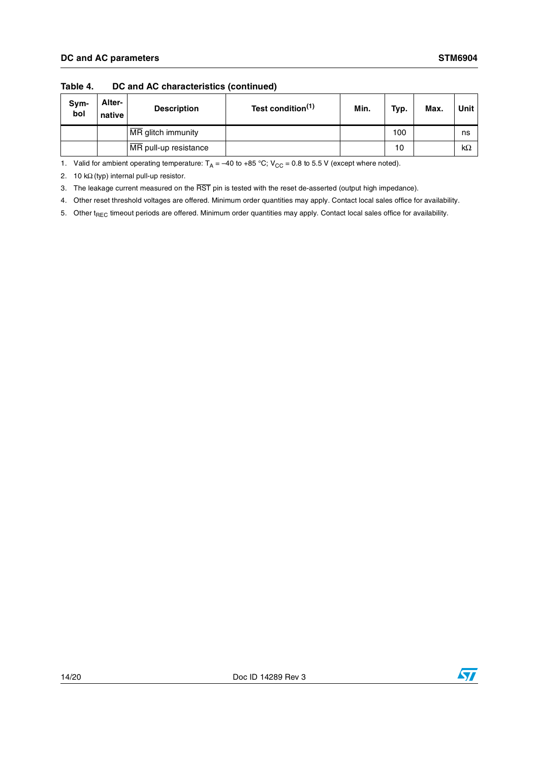| Sym-<br>bol | Alter-<br>native | <b>Description</b>    | Test condition <sup>(1)</sup> | Min. | Typ. | Max. | Unit      |
|-------------|------------------|-----------------------|-------------------------------|------|------|------|-----------|
|             |                  | MR glitch immunity    |                               |      | 100  |      | ns        |
|             |                  | MR pull-up resistance |                               |      | 10   |      | $k\Omega$ |

#### **Table 4. DC and AC characteristics (continued)**

1. Valid for ambient operating temperature:  $T_A = -40$  to +85 °C;  $V_{CC} = 0.8$  to 5.5 V (except where noted).

2. 10 kΩ (typ) internal pull-up resistor.

3. The leakage current measured on the RST pin is tested with the reset de-asserted (output high impedance).

4. Other reset threshold voltages are offered. Minimum order quantities may apply. Contact local sales office for availability.

5. Other t<sub>REC</sub> timeout periods are offered. Minimum order quantities may apply. Contact local sales office for availability.

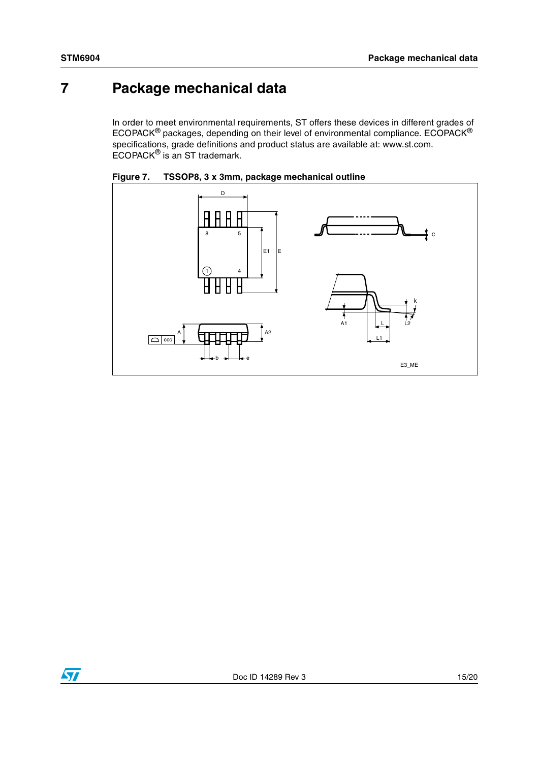## <span id="page-14-0"></span>**7 Package mechanical data**

In order to meet environmental requirements, ST offers these devices in different grades of ECOPACK® packages, depending on their level of environmental compliance. ECOPACK® specifications, grade definitions and product status are available at: www.st.com. ECOPACK<sup>®</sup> is an ST trademark.



<span id="page-14-1"></span>

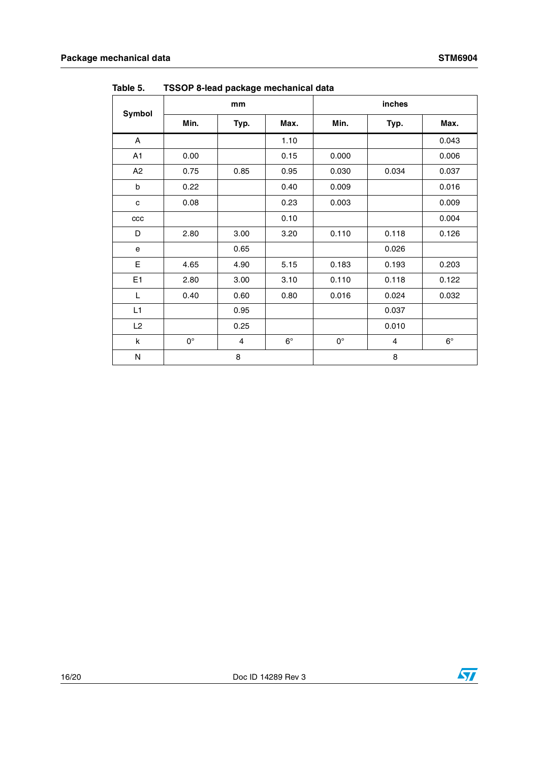| Symbol         | mm          |                |             | inches      |                |             |
|----------------|-------------|----------------|-------------|-------------|----------------|-------------|
|                | Min.        | Typ.           | Max.        | Min.        | Typ.           | Max.        |
| A              |             |                | 1.10        |             |                | 0.043       |
| A <sub>1</sub> | 0.00        |                | 0.15        | 0.000       |                | 0.006       |
| A2             | 0.75        | 0.85           | 0.95        | 0.030       | 0.034          | 0.037       |
| b              | 0.22        |                | 0.40        | 0.009       |                | 0.016       |
| $\mathbf{C}$   | 0.08        |                | 0.23        | 0.003       |                | 0.009       |
| ccc            |             |                | 0.10        |             |                | 0.004       |
| D              | 2.80        | 3.00           | 3.20        | 0.110       | 0.118          | 0.126       |
| e              |             | 0.65           |             |             | 0.026          |             |
| E              | 4.65        | 4.90           | 5.15        | 0.183       | 0.193          | 0.203       |
| E <sub>1</sub> | 2.80        | 3.00           | 3.10        | 0.110       | 0.118          | 0.122       |
| L              | 0.40        | 0.60           | 0.80        | 0.016       | 0.024          | 0.032       |
| L1             |             | 0.95           |             |             | 0.037          |             |
| L2             |             | 0.25           |             |             | 0.010          |             |
| k              | $0^{\circ}$ | $\overline{4}$ | $6^{\circ}$ | $0^{\circ}$ | $\overline{4}$ | $6^{\circ}$ |
| N              | 8           |                | 8           |             |                |             |

<span id="page-15-0"></span>**Table 5. TSSOP 8-lead package mechanical data**

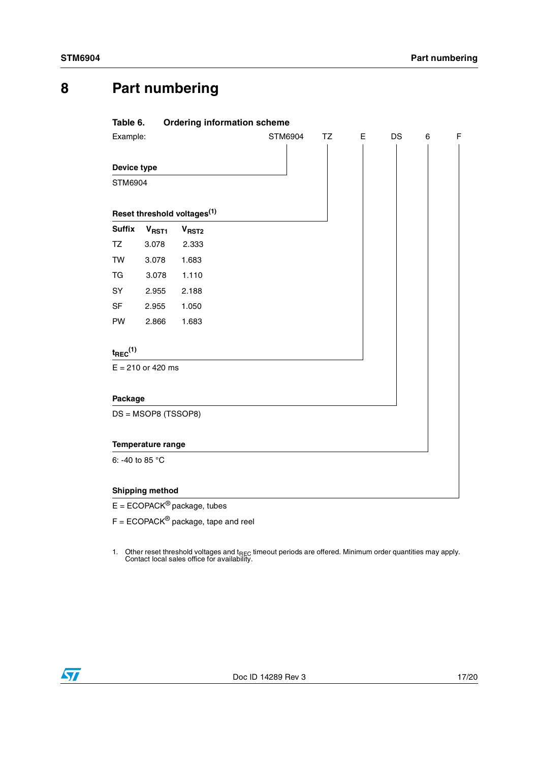## <span id="page-16-0"></span>**8 Part numbering**

<span id="page-16-1"></span>

| Table 6.               |                          | <b>Ordering information scheme</b>      |         |    |   |    |   |   |
|------------------------|--------------------------|-----------------------------------------|---------|----|---|----|---|---|
| Example:               |                          |                                         | STM6904 | TZ | E | DS | 6 | F |
|                        |                          |                                         |         |    |   |    |   |   |
| Device type            |                          |                                         |         |    |   |    |   |   |
| STM6904                |                          |                                         |         |    |   |    |   |   |
|                        |                          |                                         |         |    |   |    |   |   |
|                        |                          | Reset threshold voltages <sup>(1)</sup> |         |    |   |    |   |   |
| <b>Suffix</b>          | V <sub>RST1</sub>        | V <sub>RST2</sub>                       |         |    |   |    |   |   |
| TZ.                    | 3.078                    | 2.333                                   |         |    |   |    |   |   |
| <b>TW</b>              | 3.078                    | 1.683                                   |         |    |   |    |   |   |
| TG                     | 3.078                    | 1.110                                   |         |    |   |    |   |   |
| SY                     | 2.955                    | 2.188                                   |         |    |   |    |   |   |
| <b>SF</b>              | 2.955                    | 1.050                                   |         |    |   |    |   |   |
| PW                     | 2.866                    | 1.683                                   |         |    |   |    |   |   |
|                        |                          |                                         |         |    |   |    |   |   |
| $t_{\text{REC}}^{(1)}$ |                          |                                         |         |    |   |    |   |   |
|                        | $E = 210$ or 420 ms      |                                         |         |    |   |    |   |   |
|                        |                          |                                         |         |    |   |    |   |   |
| Package                |                          |                                         |         |    |   |    |   |   |
|                        | DS = MSOP8 (TSSOP8)      |                                         |         |    |   |    |   |   |
|                        |                          |                                         |         |    |   |    |   |   |
|                        | <b>Temperature range</b> |                                         |         |    |   |    |   |   |
|                        | 6: -40 to 85 °C          |                                         |         |    |   |    |   |   |

 $E = ECOPACK^{\circledast}$  package, tubes

 $F = ECOPACK^@$  package, tape and reel

1. Other reset threshold voltages and  $t_{\text{REC}}$  timeout periods are offered. Minimum order quantities may apply.<br>Contact local sales office for availability.

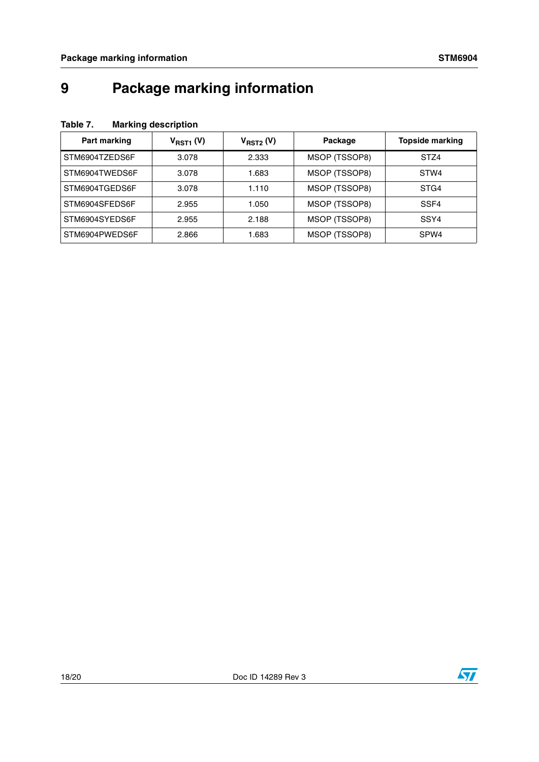## <span id="page-17-0"></span>**9 Package marking information**

<span id="page-17-1"></span>

| Table 7. | <b>Marking description</b> |
|----------|----------------------------|
|          |                            |

| Part marking   | $V_{RST1}$ (V) | V <sub>RST2</sub> (V) | Package       | <b>Topside marking</b> |
|----------------|----------------|-----------------------|---------------|------------------------|
| STM6904TZEDS6F | 3.078          | 2.333                 | MSOP (TSSOP8) | STZ4                   |
| STM6904TWEDS6F | 3.078          | 1.683                 | MSOP (TSSOP8) | STW4                   |
| STM6904TGEDS6F | 3.078          | 1.110                 | MSOP (TSSOP8) | STG4                   |
| STM6904SFEDS6F | 2.955          | 1.050                 | MSOP (TSSOP8) | SSF4                   |
| STM6904SYEDS6F | 2.955          | 2.188                 | MSOP (TSSOP8) | SSY4                   |
| STM6904PWEDS6F | 2.866          | 1.683                 | MSOP (TSSOP8) | SPW <sub>4</sub>       |

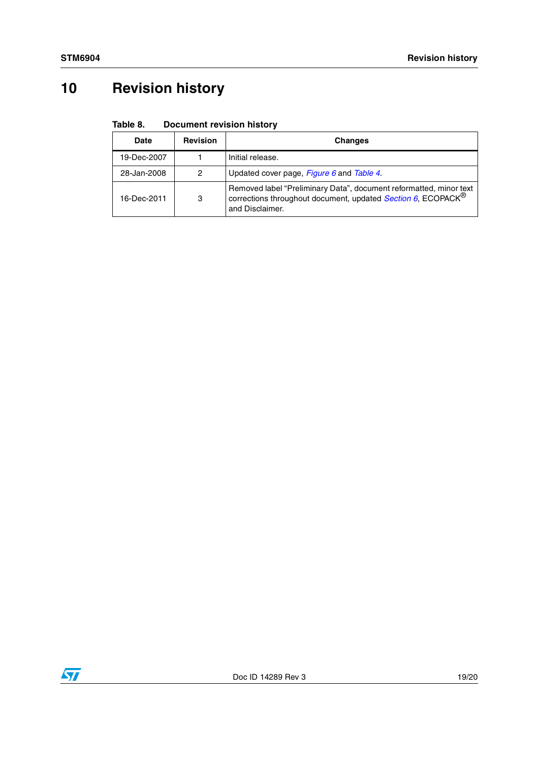# <span id="page-18-0"></span>**10 Revision history**

<span id="page-18-1"></span>

| Table 8. | <b>Document revision history</b> |
|----------|----------------------------------|
|----------|----------------------------------|

| <b>Date</b> | <b>Revision</b> | <b>Changes</b>                                                                                                                                                    |
|-------------|-----------------|-------------------------------------------------------------------------------------------------------------------------------------------------------------------|
| 19-Dec-2007 |                 | Initial release.                                                                                                                                                  |
| 28-Jan-2008 | 2               | Updated cover page, <i>Figure 6</i> and <i>Table 4</i> .                                                                                                          |
| 16-Dec-2011 | 3               | Removed label "Preliminary Data", document reformatted, minor text<br>corrections throughout document, updated Section 6, ECOPACK <sup>®</sup><br>and Disclaimer. |